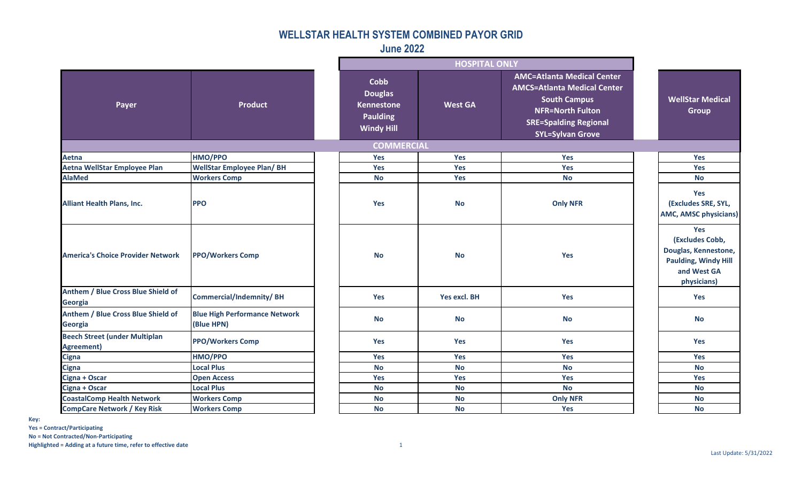**June 2022**

|                                                           |                                                    |                                                                                            | <b>HOSPITAL ONLY</b> |                                                                                                                                                                                      |                                                                                                                    |
|-----------------------------------------------------------|----------------------------------------------------|--------------------------------------------------------------------------------------------|----------------------|--------------------------------------------------------------------------------------------------------------------------------------------------------------------------------------|--------------------------------------------------------------------------------------------------------------------|
| Payer                                                     | <b>Product</b>                                     | <b>Cobb</b><br><b>Douglas</b><br><b>Kennestone</b><br><b>Paulding</b><br><b>Windy Hill</b> | <b>West GA</b>       | <b>AMC=Atlanta Medical Center</b><br><b>AMCS=Atlanta Medical Center</b><br><b>South Campus</b><br><b>NFR=North Fulton</b><br><b>SRE=Spalding Regional</b><br><b>SYL=Sylvan Grove</b> | <b>WellStar Medical</b><br>Group                                                                                   |
|                                                           |                                                    | <b>COMMERCIAL</b>                                                                          |                      |                                                                                                                                                                                      |                                                                                                                    |
| Aetna                                                     | HMO/PPO                                            | Yes                                                                                        | <b>Yes</b>           | Yes                                                                                                                                                                                  | <b>Yes</b>                                                                                                         |
| <b>Aetna WellStar Employee Plan</b>                       | <b>WellStar Employee Plan/BH</b>                   | Yes                                                                                        | Yes                  | Yes                                                                                                                                                                                  | Yes                                                                                                                |
| <b>AlaMed</b>                                             | <b>Workers Comp</b>                                | <b>No</b>                                                                                  | <b>Yes</b>           | <b>No</b>                                                                                                                                                                            | <b>No</b>                                                                                                          |
| <b>Alliant Health Plans, Inc.</b>                         | <b>PPO</b>                                         | <b>Yes</b>                                                                                 | <b>No</b>            | <b>Only NFR</b>                                                                                                                                                                      | <b>Yes</b><br>(Excludes SRE, SYL,<br><b>AMC, AMSC physicians)</b>                                                  |
| <b>America's Choice Provider Network</b>                  | <b>PPO/Workers Comp</b>                            | <b>No</b>                                                                                  | <b>No</b>            | Yes                                                                                                                                                                                  | <b>Yes</b><br>(Excludes Cobb,<br>Douglas, Kennestone,<br><b>Paulding, Windy Hill</b><br>and West GA<br>physicians) |
| Anthem / Blue Cross Blue Shield of<br><b>Georgia</b>      | <b>Commercial/Indemnity/BH</b>                     | Yes                                                                                        | <b>Yes excl. BH</b>  | Yes                                                                                                                                                                                  | Yes                                                                                                                |
| Anthem / Blue Cross Blue Shield of<br><b>Georgia</b>      | <b>Blue High Performance Network</b><br>(Blue HPN) | <b>No</b>                                                                                  | <b>No</b>            | <b>No</b>                                                                                                                                                                            | <b>No</b>                                                                                                          |
| <b>Beech Street (under Multiplan</b><br><b>Agreement)</b> | <b>PPO/Workers Comp</b>                            | <b>Yes</b>                                                                                 | <b>Yes</b>           | Yes                                                                                                                                                                                  | <b>Yes</b>                                                                                                         |
| <b>Cigna</b>                                              | HMO/PPO                                            | Yes                                                                                        | <b>Yes</b>           | Yes                                                                                                                                                                                  | Yes                                                                                                                |
| <b>Cigna</b>                                              | <b>Local Plus</b>                                  | <b>No</b>                                                                                  | <b>No</b>            | <b>No</b>                                                                                                                                                                            | <b>No</b>                                                                                                          |
| Cigna + Oscar                                             | <b>Open Access</b>                                 | Yes                                                                                        | <b>Yes</b>           | Yes                                                                                                                                                                                  | Yes                                                                                                                |
| Cigna + Oscar                                             | <b>Local Plus</b>                                  | <b>No</b>                                                                                  | <b>No</b>            | <b>No</b>                                                                                                                                                                            | <b>No</b>                                                                                                          |
| <b>CoastalComp Health Network</b>                         | <b>Workers Comp</b>                                | <b>No</b>                                                                                  | <b>No</b>            | <b>Only NFR</b>                                                                                                                                                                      | <b>No</b>                                                                                                          |
| <b>CompCare Network / Key Risk</b>                        | <b>Workers Comp</b>                                | <b>No</b>                                                                                  | <b>No</b>            | Yes                                                                                                                                                                                  | <b>No</b>                                                                                                          |

**Key:**

**Yes = Contract/Participating**

**No = Not Contracted/Non-Participating**

**Highlighted = Adding at a future time, refer to effective date** 1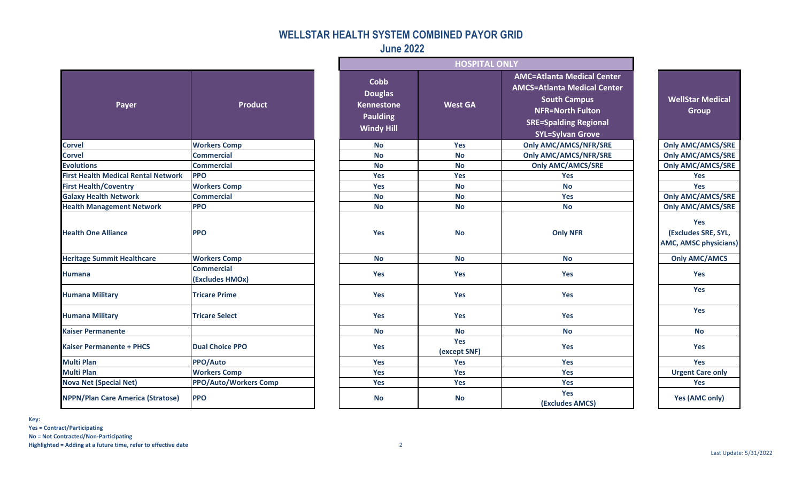#### **June 2022**

| Payer                                      | <b>Product</b>                       | <b>Cobb</b><br><b>Douglas</b><br><b>Kennestone</b><br><b>Paulding</b><br><b>Windy Hill</b> | <b>West GA</b>             | <b>AMC=Atlanta Med</b><br><b>AMCS=Atlanta Med</b><br>South Cam<br><b>NFR=North F</b><br><b>SRE=Spalding R</b><br><b>SYL=Sylvan G</b> |
|--------------------------------------------|--------------------------------------|--------------------------------------------------------------------------------------------|----------------------------|--------------------------------------------------------------------------------------------------------------------------------------|
| <b>Corvel</b>                              | <b>Workers Comp</b>                  | <b>No</b>                                                                                  | <b>Yes</b>                 | <b>Only AMC/AMCS/</b>                                                                                                                |
| <b>Corvel</b>                              | <b>Commercial</b>                    | <b>No</b>                                                                                  | <b>No</b>                  | <b>Only AMC/AMCS/</b>                                                                                                                |
| <b>Evolutions</b>                          | <b>Commercial</b>                    | <b>No</b>                                                                                  | <b>No</b>                  | <b>Only AMC/AMG</b>                                                                                                                  |
| <b>First Health Medical Rental Network</b> | <b>PPO</b>                           | <b>Yes</b>                                                                                 | Yes                        | <b>Yes</b>                                                                                                                           |
| <b>First Health/Coventry</b>               | <b>Workers Comp</b>                  | <b>Yes</b>                                                                                 | <b>No</b>                  | <b>No</b>                                                                                                                            |
| <b>Galaxy Health Network</b>               | <b>Commercial</b>                    | <b>No</b>                                                                                  | <b>No</b>                  | <b>Yes</b>                                                                                                                           |
| <b>Health Management Network</b>           | <b>PPO</b>                           | <b>No</b>                                                                                  | <b>No</b>                  | <b>No</b>                                                                                                                            |
| <b>Health One Alliance</b>                 | <b>PPO</b>                           | <b>Yes</b>                                                                                 | <b>No</b>                  | <b>Only NFR</b>                                                                                                                      |
| <b>Heritage Summit Healthcare</b>          | <b>Workers Comp</b>                  | <b>No</b>                                                                                  | <b>No</b>                  | <b>No</b>                                                                                                                            |
| <b>Humana</b>                              | <b>Commercial</b><br>(Excludes HMOx) | <b>Yes</b>                                                                                 | <b>Yes</b>                 | <b>Yes</b>                                                                                                                           |
| <b>Humana Military</b>                     | <b>Tricare Prime</b>                 | <b>Yes</b>                                                                                 | Yes                        | <b>Yes</b>                                                                                                                           |
| <b>Humana Military</b>                     | <b>Tricare Select</b>                | <b>Yes</b>                                                                                 | <b>Yes</b>                 | <b>Yes</b>                                                                                                                           |
| <b>Kaiser Permanente</b>                   |                                      | <b>No</b>                                                                                  | <b>No</b>                  | <b>No</b>                                                                                                                            |
| <b>Kaiser Permanente + PHCS</b>            | <b>Dual Choice PPO</b>               | <b>Yes</b>                                                                                 | <b>Yes</b><br>(except SNF) | <b>Yes</b>                                                                                                                           |
| <b>Multi Plan</b>                          | PPO/Auto                             | <b>Yes</b>                                                                                 | <b>Yes</b>                 | <b>Yes</b>                                                                                                                           |
| <b>Multi Plan</b>                          | <b>Workers Comp</b>                  | <b>Yes</b>                                                                                 | <b>Yes</b>                 | <b>Yes</b>                                                                                                                           |
| <b>Nova Net (Special Net)</b>              | PPO/Auto/Workers Comp                | <b>Yes</b>                                                                                 | Yes                        | <b>Yes</b>                                                                                                                           |
| <b>NPPN/Plan Care America (Stratose)</b>   | <b>PPO</b>                           | <b>No</b>                                                                                  | <b>No</b>                  | <b>Yes</b><br>(Excludes AN                                                                                                           |

|                                            |                                      |                                                                                            | <b>HOSPITAL ONLY</b>       |                                                                                                                                                                                      |                                                                   |
|--------------------------------------------|--------------------------------------|--------------------------------------------------------------------------------------------|----------------------------|--------------------------------------------------------------------------------------------------------------------------------------------------------------------------------------|-------------------------------------------------------------------|
| Payer                                      | <b>Product</b>                       | <b>Cobb</b><br><b>Douglas</b><br><b>Kennestone</b><br><b>Paulding</b><br><b>Windy Hill</b> | <b>West GA</b>             | <b>AMC=Atlanta Medical Center</b><br><b>AMCS=Atlanta Medical Center</b><br><b>South Campus</b><br><b>NFR=North Fulton</b><br><b>SRE=Spalding Regional</b><br><b>SYL=Sylvan Grove</b> | <b>WellStar Medical</b><br><b>Group</b>                           |
| <b>Corvel</b>                              | <b>Workers Comp</b>                  | <b>No</b>                                                                                  | Yes                        | <b>Only AMC/AMCS/NFR/SRE</b>                                                                                                                                                         | <b>Only AMC/AMCS/SRE</b>                                          |
| <b>Corvel</b>                              | <b>Commercial</b>                    | <b>No</b>                                                                                  | <b>No</b>                  | <b>Only AMC/AMCS/NFR/SRE</b>                                                                                                                                                         | <b>Only AMC/AMCS/SRE</b>                                          |
| <b>Evolutions</b>                          | <b>Commercial</b>                    | <b>No</b>                                                                                  | <b>No</b>                  | <b>Only AMC/AMCS/SRE</b>                                                                                                                                                             | <b>Only AMC/AMCS/SRE</b>                                          |
| <b>First Health Medical Rental Network</b> | <b>PPO</b>                           | Yes                                                                                        | Yes                        | Yes                                                                                                                                                                                  | <b>Yes</b>                                                        |
| <b>First Health/Coventry</b>               | <b>Workers Comp</b>                  | <b>Yes</b>                                                                                 | <b>No</b>                  | <b>No</b>                                                                                                                                                                            | <b>Yes</b>                                                        |
| <b>Galaxy Health Network</b>               | <b>Commercial</b>                    | <b>No</b>                                                                                  | <b>No</b>                  | Yes                                                                                                                                                                                  | <b>Only AMC/AMCS/SRE</b>                                          |
| <b>Health Management Network</b>           | <b>PPO</b>                           | <b>No</b>                                                                                  | <b>No</b>                  | <b>No</b>                                                                                                                                                                            | <b>Only AMC/AMCS/SRE</b>                                          |
| <b>Health One Alliance</b>                 | <b>PPO</b>                           | Yes                                                                                        | <b>No</b>                  | <b>Only NFR</b>                                                                                                                                                                      | <b>Yes</b><br>(Excludes SRE, SYL,<br><b>AMC, AMSC physicians)</b> |
| <b>Heritage Summit Healthcare</b>          | <b>Workers Comp</b>                  | <b>No</b>                                                                                  | <b>No</b>                  | <b>No</b>                                                                                                                                                                            | <b>Only AMC/AMCS</b>                                              |
| <b>Humana</b>                              | <b>Commercial</b><br>(Excludes HMOx) | Yes                                                                                        | Yes                        | Yes                                                                                                                                                                                  | <b>Yes</b>                                                        |
| <b>Humana Military</b>                     | <b>Tricare Prime</b>                 | Yes                                                                                        | Yes                        | Yes                                                                                                                                                                                  | Yes                                                               |
| <b>Humana Military</b>                     | <b>Tricare Select</b>                | <b>Yes</b>                                                                                 | Yes                        | Yes                                                                                                                                                                                  | Yes                                                               |
| <b>Kaiser Permanente</b>                   |                                      | <b>No</b>                                                                                  | <b>No</b>                  | <b>No</b>                                                                                                                                                                            | <b>No</b>                                                         |
| <b>Kaiser Permanente + PHCS</b>            | <b>Dual Choice PPO</b>               | <b>Yes</b>                                                                                 | <b>Yes</b><br>(except SNF) | Yes                                                                                                                                                                                  | Yes                                                               |
| <b>Multi Plan</b>                          | PPO/Auto                             | Yes                                                                                        | <b>Yes</b>                 | Yes                                                                                                                                                                                  | <b>Yes</b>                                                        |
| <b>Multi Plan</b>                          | <b>Workers Comp</b>                  | Yes                                                                                        | Yes                        | Yes                                                                                                                                                                                  | <b>Urgent Care only</b>                                           |
| <b>Nova Net (Special Net)</b>              | <b>PPO/Auto/Workers Comp</b>         | Yes                                                                                        | Yes                        | Yes                                                                                                                                                                                  | Yes                                                               |
| <b>NPPN/Plan Care America (Stratose)</b>   | <b>PPO</b>                           | <b>No</b>                                                                                  | No                         | Yes<br>(Excludes AMCS)                                                                                                                                                               | Yes (AMC only)                                                    |

**Key:**

**Yes = Contract/Participating**

**No = Not Contracted/Non-Participating**

**Highlighted = Adding at a future time, refer to effective date** 2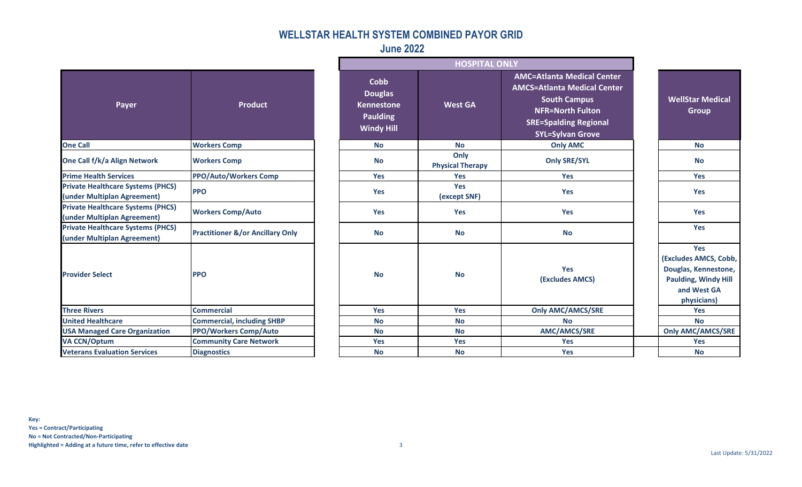# **June 2022**

| Payer                                                                   | <b>Product</b>                              | <b>Cobb</b><br><b>Douglas</b><br><b>Kennestone</b><br><b>Paulding</b><br><b>Windy Hill</b> | <b>West GA</b>                  | <b>AMC=Atlanta M</b><br><b>AMCS=Atlanta M</b><br>South Ca<br><b>NFR=Nortl</b><br><b>SRE=Spalding</b><br>SYL=Sylva |
|-------------------------------------------------------------------------|---------------------------------------------|--------------------------------------------------------------------------------------------|---------------------------------|-------------------------------------------------------------------------------------------------------------------|
| <b>One Call</b>                                                         | <b>Workers Comp</b>                         | <b>No</b>                                                                                  | <b>No</b>                       | Only A                                                                                                            |
| One Call f/k/a Align Network                                            | <b>Workers Comp</b>                         | <b>No</b>                                                                                  | Only<br><b>Physical Therapy</b> | <b>Only SR</b>                                                                                                    |
| <b>Prime Health Services</b>                                            | <b>PPO/Auto/Workers Comp</b>                | Yes                                                                                        | <b>Yes</b>                      | <b>Yes</b>                                                                                                        |
| <b>Private Healthcare Systems (PHCS)</b><br>(under Multiplan Agreement) | <b>PPO</b>                                  | Yes                                                                                        | <b>Yes</b><br>(except SNF)      | <b>Yes</b>                                                                                                        |
| <b>Private Healthcare Systems (PHCS)</b><br>(under Multiplan Agreement) | <b>Workers Comp/Auto</b>                    | <b>Yes</b>                                                                                 | <b>Yes</b>                      | <b>Yes</b>                                                                                                        |
| <b>Private Healthcare Systems (PHCS)</b><br>(under Multiplan Agreement) | <b>Practitioner &amp;/or Ancillary Only</b> | <b>No</b>                                                                                  | <b>No</b>                       | <b>No</b>                                                                                                         |
| <b>Provider Select</b>                                                  | <b>PPO</b>                                  | <b>No</b>                                                                                  | <b>No</b>                       | <b>Yes</b><br><b>(Excludes</b>                                                                                    |
| <b>Three Rivers</b>                                                     | <b>Commercial</b>                           | <b>Yes</b>                                                                                 | <b>Yes</b>                      | <b>Only AMC/A</b>                                                                                                 |
| <b>United Healthcare</b>                                                | <b>Commercial, including SHBP</b>           | <b>No</b>                                                                                  | <b>No</b>                       | <b>No</b>                                                                                                         |
| <b>USA Managed Care Organization</b>                                    | <b>PPO/Workers Comp/Auto</b>                | <b>No</b>                                                                                  | <b>No</b>                       | AMC/AM                                                                                                            |
| <b>VA CCN/Optum</b>                                                     | <b>Community Care Network</b>               | <b>Yes</b>                                                                                 | <b>Yes</b>                      | <b>Yes</b>                                                                                                        |
| <b>Veterans Evaluation Services</b>                                     | <b>Diagnostics</b>                          | <b>No</b>                                                                                  | <b>No</b>                       | <b>Yes</b>                                                                                                        |

| Payer                                                                   | <b>Product</b>                              |  | <b>Cobb</b><br><b>Douglas</b><br><b>Kennestone</b><br><b>Paulding</b><br><b>Windy Hill</b> | <b>West GA</b>                  | <b>AMC=Atlanta Medical Center</b><br><b>AMCS=Atlanta Medical Center</b><br><b>South Campus</b><br><b>NFR=North Fulton</b><br><b>SRE=Spalding Regional</b><br><b>SYL=Sylvan Grove</b> | <b>WellStar Medical</b><br><b>Group</b>                                                                                  |
|-------------------------------------------------------------------------|---------------------------------------------|--|--------------------------------------------------------------------------------------------|---------------------------------|--------------------------------------------------------------------------------------------------------------------------------------------------------------------------------------|--------------------------------------------------------------------------------------------------------------------------|
| <b>One Call</b>                                                         | <b>Workers Comp</b>                         |  | <b>No</b>                                                                                  | <b>No</b>                       | <b>Only AMC</b>                                                                                                                                                                      | <b>No</b>                                                                                                                |
| One Call f/k/a Align Network                                            | <b>Workers Comp</b>                         |  | <b>No</b>                                                                                  | Only<br><b>Physical Therapy</b> | <b>Only SRE/SYL</b>                                                                                                                                                                  | <b>No</b>                                                                                                                |
| <b>Prime Health Services</b>                                            | <b>PPO/Auto/Workers Comp</b>                |  | <b>Yes</b>                                                                                 | <b>Yes</b>                      | Yes                                                                                                                                                                                  | Yes                                                                                                                      |
| <b>Private Healthcare Systems (PHCS)</b><br>(under Multiplan Agreement) | <b>PPO</b>                                  |  | Yes                                                                                        | Yes<br>(except SNF)             | Yes                                                                                                                                                                                  | Yes                                                                                                                      |
| <b>Private Healthcare Systems (PHCS)</b><br>(under Multiplan Agreement) | <b>Workers Comp/Auto</b>                    |  | <b>Yes</b>                                                                                 | <b>Yes</b>                      | Yes                                                                                                                                                                                  | <b>Yes</b>                                                                                                               |
| <b>Private Healthcare Systems (PHCS)</b><br>(under Multiplan Agreement) | <b>Practitioner &amp;/or Ancillary Only</b> |  | <b>No</b>                                                                                  | <b>No</b>                       | <b>No</b>                                                                                                                                                                            | <b>Yes</b>                                                                                                               |
| <b>Provider Select</b>                                                  | <b>PPO</b>                                  |  | <b>No</b>                                                                                  | <b>No</b>                       | <b>Yes</b><br>(Excludes AMCS)                                                                                                                                                        | <b>Yes</b><br>(Excludes AMCS, Cobb,<br>Douglas, Kennestone,<br><b>Paulding, Windy Hill</b><br>and West GA<br>physicians) |
| <b>Three Rivers</b>                                                     | <b>Commercial</b>                           |  | Yes                                                                                        | Yes                             | <b>Only AMC/AMCS/SRE</b>                                                                                                                                                             | Yes                                                                                                                      |
| <b>United Healthcare</b>                                                | <b>Commercial, including SHBP</b>           |  | <b>No</b>                                                                                  | <b>No</b>                       | <b>No</b>                                                                                                                                                                            | <b>No</b>                                                                                                                |
| <b>USA Managed Care Organization</b>                                    | <b>PPO/Workers Comp/Auto</b>                |  | <b>No</b>                                                                                  | <b>No</b>                       | <b>AMC/AMCS/SRE</b>                                                                                                                                                                  | <b>Only AMC/AMCS/SRE</b>                                                                                                 |
| <b>VA CCN/Optum</b>                                                     | <b>Community Care Network</b>               |  | <b>Yes</b>                                                                                 | <b>Yes</b>                      | <b>Yes</b>                                                                                                                                                                           | <b>Yes</b>                                                                                                               |
| <b>Veterans Evaluation Services</b>                                     | <b>Diagnostics</b>                          |  | <b>No</b>                                                                                  | <b>No</b>                       | Yes                                                                                                                                                                                  | <b>No</b>                                                                                                                |

**Yes = Contract/Participating No = Not Contracted/Non-Participating Highlighted = Adding at a future time, refer to effective date** 3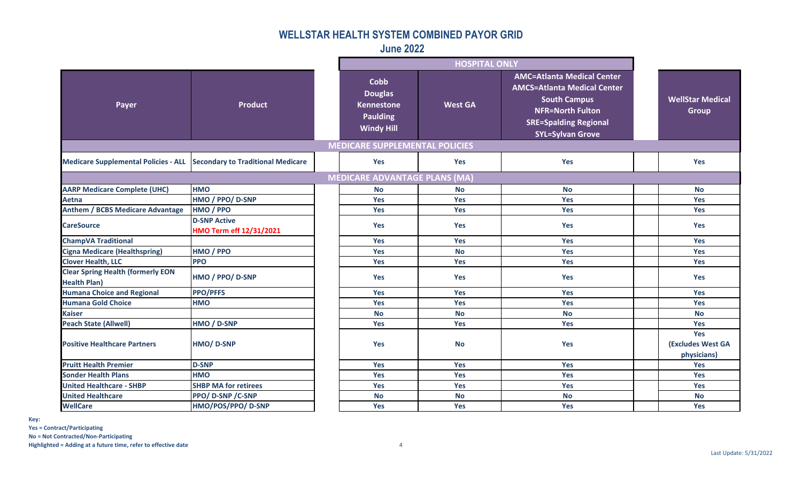**June 2022**

|                                                                        |                                                |  | <b>HOSPITAL ONLY</b>                                                                       |                |                                                                                                                                                                                      |  |                                         |
|------------------------------------------------------------------------|------------------------------------------------|--|--------------------------------------------------------------------------------------------|----------------|--------------------------------------------------------------------------------------------------------------------------------------------------------------------------------------|--|-----------------------------------------|
| Payer                                                                  | <b>Product</b>                                 |  | <b>Cobb</b><br><b>Douglas</b><br><b>Kennestone</b><br><b>Paulding</b><br><b>Windy Hill</b> | <b>West GA</b> | <b>AMC=Atlanta Medical Center</b><br><b>AMCS=Atlanta Medical Center</b><br><b>South Campus</b><br><b>NFR=North Fulton</b><br><b>SRE=Spalding Regional</b><br><b>SYL=Sylvan Grove</b> |  | <b>WellStar Medical</b><br><b>Group</b> |
|                                                                        |                                                |  | <b>MEDICARE SUPPLEMENTAL POLICIES</b>                                                      |                |                                                                                                                                                                                      |  |                                         |
| Medicare Supplemental Policies - ALL Secondary to Traditional Medicare |                                                |  | Yes                                                                                        | Yes            | Yes                                                                                                                                                                                  |  | Yes                                     |
|                                                                        |                                                |  | <b>MEDICARE ADVANTAGE PLANS (MA)</b>                                                       |                |                                                                                                                                                                                      |  |                                         |
| <b>AARP Medicare Complete (UHC)</b>                                    | <b>HMO</b>                                     |  | <b>No</b>                                                                                  | <b>No</b>      | <b>No</b>                                                                                                                                                                            |  | <b>No</b>                               |
| <b>Aetna</b>                                                           | HMO / PPO/ D-SNP                               |  | Yes                                                                                        | <b>Yes</b>     | <b>Yes</b>                                                                                                                                                                           |  | Yes                                     |
| <b>Anthem / BCBS Medicare Advantage</b>                                | HMO / PPO                                      |  | <b>Yes</b>                                                                                 | <b>Yes</b>     | <b>Yes</b>                                                                                                                                                                           |  | <b>Yes</b>                              |
| <b>CareSource</b>                                                      | <b>D-SNP Active</b><br>HMO Term eff 12/31/2021 |  | <b>Yes</b>                                                                                 | <b>Yes</b>     | Yes                                                                                                                                                                                  |  | Yes                                     |
| <b>ChampVA Traditional</b>                                             |                                                |  | Yes                                                                                        | Yes            | Yes                                                                                                                                                                                  |  | Yes                                     |
| <b>Cigna Medicare (Healthspring)</b>                                   | HMO / PPO                                      |  | Yes                                                                                        | <b>No</b>      | Yes                                                                                                                                                                                  |  | Yes                                     |
| <b>Clover Health, LLC</b>                                              | <b>PPO</b>                                     |  | Yes                                                                                        | Yes            | Yes                                                                                                                                                                                  |  | Yes                                     |
| <b>Clear Spring Health (formerly EON</b><br><b>Health Plan)</b>        | HMO / PPO/ D-SNP                               |  | Yes                                                                                        | <b>Yes</b>     | Yes                                                                                                                                                                                  |  | Yes                                     |
| <b>Humana Choice and Regional</b>                                      | <b>PPO/PFFS</b>                                |  | <b>Yes</b>                                                                                 | Yes            | Yes                                                                                                                                                                                  |  | <b>Yes</b>                              |
| <b>Humana Gold Choice</b>                                              | <b>HMO</b>                                     |  | Yes                                                                                        | <b>Yes</b>     | Yes                                                                                                                                                                                  |  | <b>Yes</b>                              |
| <b>Kaiser</b>                                                          |                                                |  | <b>No</b>                                                                                  | <b>No</b>      | <b>No</b>                                                                                                                                                                            |  | <b>No</b>                               |
| <b>Peach State (Allwell)</b>                                           | HMO / D-SNP                                    |  | <b>Yes</b>                                                                                 | <b>Yes</b>     | Yes                                                                                                                                                                                  |  | <b>Yes</b>                              |
| <b>Positive Healthcare Partners</b>                                    | HMO/D-SNP                                      |  | Yes                                                                                        | <b>No</b>      | Yes                                                                                                                                                                                  |  | Yes<br>(Excludes West GA<br>physicians) |
| <b>Pruitt Health Premier</b>                                           | <b>D-SNP</b>                                   |  | Yes                                                                                        | Yes            | Yes                                                                                                                                                                                  |  | <b>Yes</b>                              |
| <b>Sonder Health Plans</b>                                             | <b>HMO</b>                                     |  | Yes                                                                                        | Yes            | Yes                                                                                                                                                                                  |  | Yes                                     |
| <b>United Healthcare - SHBP</b>                                        | <b>SHBP MA for retirees</b>                    |  | <b>Yes</b>                                                                                 | <b>Yes</b>     | Yes                                                                                                                                                                                  |  | <b>Yes</b>                              |
| <b>United Healthcare</b>                                               | PPO/D-SNP/C-SNP                                |  | <b>No</b>                                                                                  | <b>No</b>      | <b>No</b>                                                                                                                                                                            |  | <b>No</b>                               |
| <b>WellCare</b>                                                        | HMO/POS/PPO/ D-SNP                             |  | Yes                                                                                        | <b>Yes</b>     | Yes                                                                                                                                                                                  |  | Yes                                     |

**Key:**

**Yes = Contract/Participating**

**No = Not Contracted/Non-Participating**

**Highlighted = Adding at a future time, refer to effective date** 4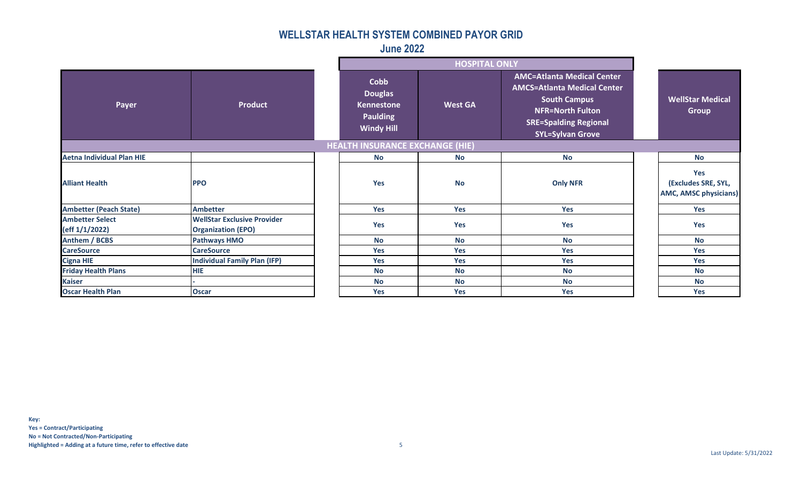**June 2022**

| Payer                                    | <b>Product</b>                                                  |  | Cobb<br><b>Douglas</b><br><b>Kennestone</b><br><b>Paulding</b><br><b>Windy Hill</b> | <b>West GA</b> | <b>AMC=Atlanta Medical Center</b><br><b>AMCS=Atlanta Medical Center</b><br><b>South Campus</b><br><b>NFR=North Fulton</b><br><b>SRE=Spalding Regional</b><br><b>SYL=Sylvan Grove</b> | <b>WellStar Medical</b><br><b>Group</b>                    |
|------------------------------------------|-----------------------------------------------------------------|--|-------------------------------------------------------------------------------------|----------------|--------------------------------------------------------------------------------------------------------------------------------------------------------------------------------------|------------------------------------------------------------|
|                                          |                                                                 |  | <b>HEALTH INSURANCE EXCHANGE (HIE)</b>                                              |                |                                                                                                                                                                                      |                                                            |
| <b>Aetna Individual Plan HIE</b>         |                                                                 |  | <b>No</b>                                                                           | <b>No</b>      | <b>No</b>                                                                                                                                                                            | <b>No</b>                                                  |
| <b>Alliant Health</b>                    | <b>PPO</b>                                                      |  | Yes                                                                                 | <b>No</b>      | <b>Only NFR</b>                                                                                                                                                                      | Yes<br>(Excludes SRE, SYL,<br><b>AMC, AMSC physicians)</b> |
| <b>Ambetter (Peach State)</b>            | <b>Ambetter</b>                                                 |  | Yes                                                                                 | Yes            | Yes                                                                                                                                                                                  | <b>Yes</b>                                                 |
| <b>Ambetter Select</b><br>(eff 1/1/2022) | <b>WellStar Exclusive Provider</b><br><b>Organization (EPO)</b> |  | Yes                                                                                 | Yes            | Yes                                                                                                                                                                                  | Yes                                                        |
| <b>Anthem / BCBS</b>                     | <b>Pathways HMO</b>                                             |  | <b>No</b>                                                                           | <b>No</b>      | <b>No</b>                                                                                                                                                                            | <b>No</b>                                                  |
| <b>CareSource</b>                        | <b>CareSource</b>                                               |  | <b>Yes</b>                                                                          | Yes            | <b>Yes</b>                                                                                                                                                                           | <b>Yes</b>                                                 |
| <b>Cigna HIE</b>                         | <b>Individual Family Plan (IFP)</b>                             |  | <b>Yes</b>                                                                          | <b>Yes</b>     | Yes                                                                                                                                                                                  | <b>Yes</b>                                                 |
| <b>Friday Health Plans</b>               | <b>HIE</b>                                                      |  | <b>No</b>                                                                           | <b>No</b>      | <b>No</b>                                                                                                                                                                            | <b>No</b>                                                  |
| <b>Kaiser</b>                            |                                                                 |  | <b>No</b>                                                                           | <b>No</b>      | <b>No</b>                                                                                                                                                                            | <b>No</b>                                                  |
| <b>Oscar Health Plan</b>                 | <b>Oscar</b>                                                    |  | <b>Yes</b>                                                                          | <b>Yes</b>     | Yes                                                                                                                                                                                  | <b>Yes</b>                                                 |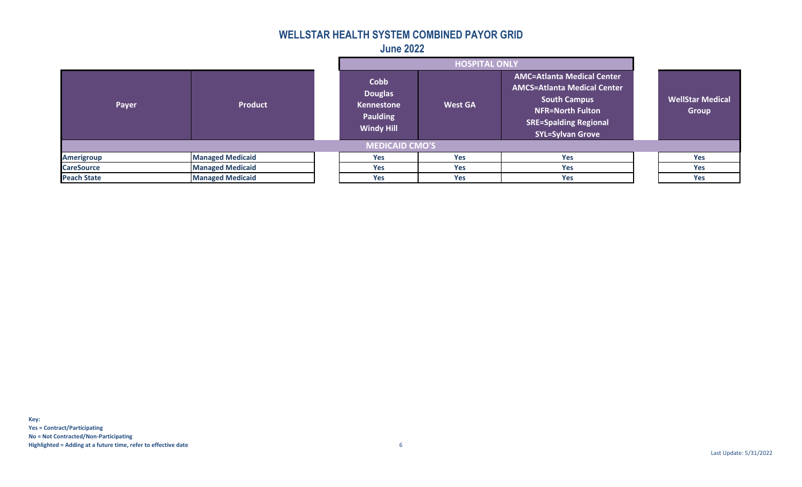**June 2022**

|                    |                         |                                                                                     | <b>HOSPITAL ONLY</b> |                                                                                                                                                                                      |                                  |
|--------------------|-------------------------|-------------------------------------------------------------------------------------|----------------------|--------------------------------------------------------------------------------------------------------------------------------------------------------------------------------------|----------------------------------|
| Payer              | <b>Product</b>          | Cobb<br><b>Douglas</b><br><b>Kennestone</b><br><b>Paulding</b><br><b>Windy Hill</b> | <b>West GA</b>       | <b>AMC=Atlanta Medical Center</b><br><b>AMCS=Atlanta Medical Center</b><br><b>South Campus</b><br><b>NFR=North Fulton</b><br><b>SRE=Spalding Regional</b><br><b>SYL=Sylvan Grove</b> | <b>WellStar Medical</b><br>Group |
|                    |                         | <b>MEDICAID CMO'S</b>                                                               |                      |                                                                                                                                                                                      |                                  |
| <b>Amerigroup</b>  | <b>Managed Medicaid</b> | <b>Yes</b>                                                                          | Yes                  | <b>Yes</b>                                                                                                                                                                           | <b>Yes</b>                       |
| <b>CareSource</b>  | <b>Managed Medicaid</b> | <b>Yes</b>                                                                          | Yes                  | <b>Yes</b>                                                                                                                                                                           | <b>Yes</b>                       |
| <b>Peach State</b> | <b>Managed Medicaid</b> | Yes                                                                                 | Yes                  | <b>Yes</b>                                                                                                                                                                           | <b>Yes</b>                       |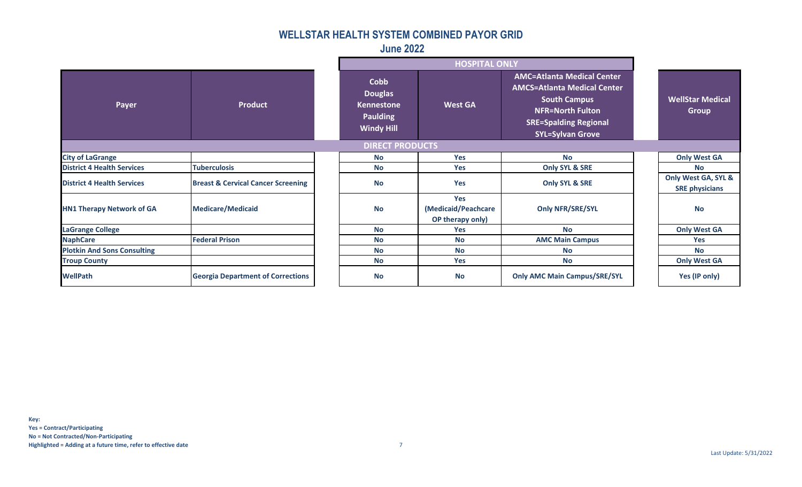# **June 2022**

| <b>Payer</b>                       | <b>Product</b>                                | Cob<br><b>Doug</b><br><b>Kennes</b><br><b>Pauld</b><br>Windy |
|------------------------------------|-----------------------------------------------|--------------------------------------------------------------|
|                                    |                                               | <b>DIRE</b>                                                  |
| <b>City of LaGrange</b>            |                                               | <b>No</b>                                                    |
| <b>District 4 Health Services</b>  | <b>Tuberculosis</b>                           | <b>No</b>                                                    |
| <b>District 4 Health Services</b>  | <b>Breast &amp; Cervical Cancer Screening</b> | <b>No</b>                                                    |
| <b>HN1 Therapy Network of GA</b>   | <b>Medicare/Medicaid</b>                      | <b>No</b>                                                    |
| <b>LaGrange College</b>            |                                               | <b>No</b>                                                    |
| <b>NaphCare</b>                    | <b>Federal Prison</b>                         | <b>No</b>                                                    |
| <b>Plotkin And Sons Consulting</b> |                                               | <b>No</b>                                                    |
| <b>Troup County</b>                |                                               | <b>No</b>                                                    |
| <b>WellPath</b>                    | <b>Georgia Department of Corrections</b>      | <b>No</b>                                                    |

|                                    |                                               |                                                                                            | <b>HOSPITAL ONLY</b>                                  |                                                                                                                                                                                      |                                              |
|------------------------------------|-----------------------------------------------|--------------------------------------------------------------------------------------------|-------------------------------------------------------|--------------------------------------------------------------------------------------------------------------------------------------------------------------------------------------|----------------------------------------------|
| Payer                              | <b>Product</b>                                | <b>Cobb</b><br><b>Douglas</b><br><b>Kennestone</b><br><b>Paulding</b><br><b>Windy Hill</b> | <b>West GA</b>                                        | <b>AMC=Atlanta Medical Center</b><br><b>AMCS=Atlanta Medical Center</b><br><b>South Campus</b><br><b>NFR=North Fulton</b><br><b>SRE=Spalding Regional</b><br><b>SYL=Sylvan Grove</b> | <b>WellStar Medical</b><br><b>Group</b>      |
|                                    |                                               | <b>DIRECT PRODUCTS</b>                                                                     |                                                       |                                                                                                                                                                                      |                                              |
| <b>City of LaGrange</b>            |                                               | <b>No</b>                                                                                  | <b>Yes</b>                                            | <b>No</b>                                                                                                                                                                            | <b>Only West GA</b>                          |
| <b>District 4 Health Services</b>  | <b>Tuberculosis</b>                           | <b>No</b>                                                                                  | <b>Yes</b>                                            | <b>Only SYL &amp; SRE</b>                                                                                                                                                            | <b>No</b>                                    |
| <b>District 4 Health Services</b>  | <b>Breast &amp; Cervical Cancer Screening</b> | <b>No</b>                                                                                  | Yes                                                   | <b>Only SYL &amp; SRE</b>                                                                                                                                                            | Only West GA, SYL &<br><b>SRE physicians</b> |
| <b>HN1 Therapy Network of GA</b>   | <b>Medicare/Medicaid</b>                      | <b>No</b>                                                                                  | <b>Yes</b><br>(Medicaid/Peachcare<br>OP therapy only) | <b>Only NFR/SRE/SYL</b>                                                                                                                                                              | <b>No</b>                                    |
| <b>LaGrange College</b>            |                                               | <b>No</b>                                                                                  | <b>Yes</b>                                            | <b>No</b>                                                                                                                                                                            | <b>Only West GA</b>                          |
| <b>NaphCare</b>                    | <b>Federal Prison</b>                         | <b>No</b>                                                                                  | <b>No</b>                                             | <b>AMC Main Campus</b>                                                                                                                                                               | <b>Yes</b>                                   |
| <b>Plotkin And Sons Consulting</b> |                                               | <b>No</b>                                                                                  | <b>No</b>                                             | <b>No</b>                                                                                                                                                                            | <b>No</b>                                    |
| <b>Troup County</b>                |                                               | <b>No</b>                                                                                  | <b>Yes</b>                                            | <b>No</b>                                                                                                                                                                            | <b>Only West GA</b>                          |
| <b>WellPath</b>                    | <b>Georgia Department of Corrections</b>      | <b>No</b>                                                                                  | <b>No</b>                                             | <b>Only AMC Main Campus/SRE/SYL</b>                                                                                                                                                  | Yes (IP only)                                |